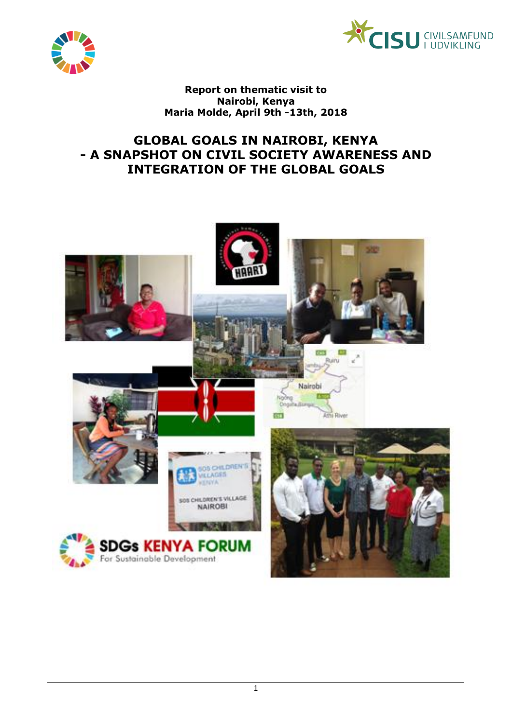



**Report on thematic visit to Nairobi, Kenya Maria Molde, April 9th -13th, 2018**

## **GLOBAL GOALS IN NAIROBI, KENYA - A SNAPSHOT ON CIVIL SOCIETY AWARENESS AND INTEGRATION OF THE GLOBAL GOALS**

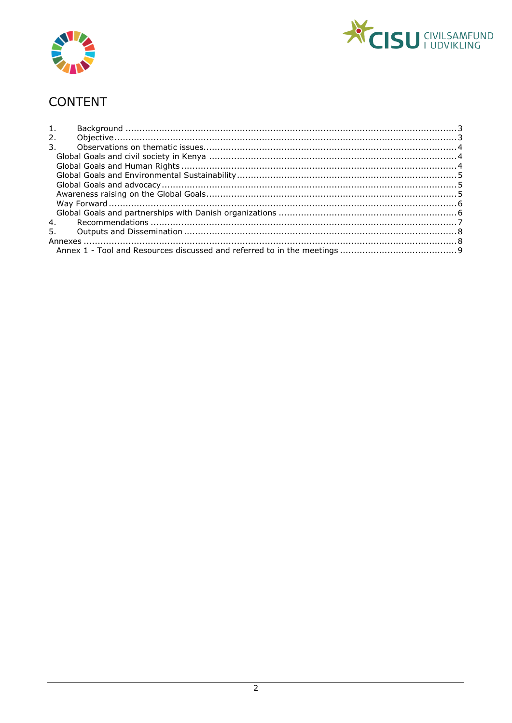



# CONTENT

| 1.             |  |  |  |  |
|----------------|--|--|--|--|
| 2.             |  |  |  |  |
| $\mathbf{3}$ . |  |  |  |  |
|                |  |  |  |  |
|                |  |  |  |  |
|                |  |  |  |  |
|                |  |  |  |  |
|                |  |  |  |  |
|                |  |  |  |  |
|                |  |  |  |  |
| 4.             |  |  |  |  |
| 5.             |  |  |  |  |
|                |  |  |  |  |
|                |  |  |  |  |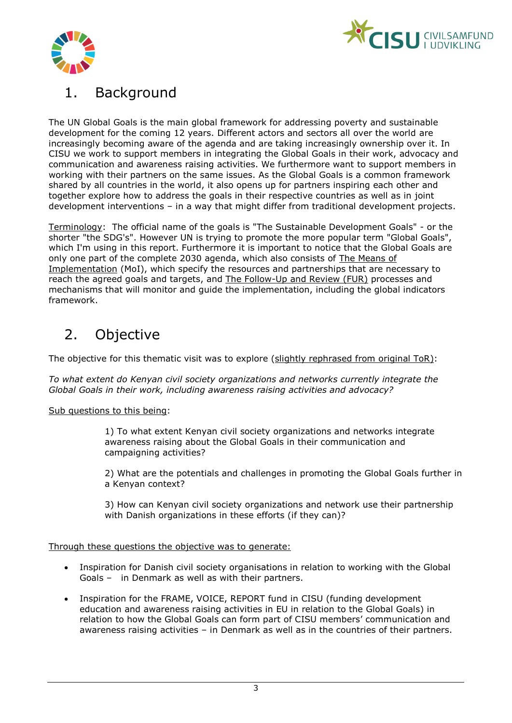



# <span id="page-2-0"></span>1. Background

The UN Global Goals is the main global framework for addressing poverty and sustainable development for the coming 12 years. Different actors and sectors all over the world are increasingly becoming aware of the agenda and are taking increasingly ownership over it. In CISU we work to support members in integrating the Global Goals in their work, advocacy and communication and awareness raising activities. We furthermore want to support members in working with their partners on the same issues. As the Global Goals is a common framework shared by all countries in the world, it also opens up for partners inspiring each other and together explore how to address the goals in their respective countries as well as in joint development interventions – in a way that might differ from traditional development projects.

Terminology: The official name of the goals is "The Sustainable Development Goals" - or the shorter "the SDG's". However UN is trying to promote the more popular term "Global Goals", which I'm using in this report. Furthermore it is important to notice that the Global Goals are only one part of the complete 2030 agenda, which also consists of The Means of Implementation (MoI), which specify the resources and partnerships that are necessary to reach the agreed goals and targets, and The Follow-Up and Review (FUR) processes and mechanisms that will monitor and guide the implementation, including the global indicators framework.

# <span id="page-2-1"></span>2. Objective

The objective for this thematic visit was to explore (slightly rephrased from original ToR):

*To what extent do Kenyan civil society organizations and networks currently integrate the Global Goals in their work, including awareness raising activities and advocacy?* 

#### Sub questions to this being:

1) To what extent Kenyan civil society organizations and networks integrate awareness raising about the Global Goals in their communication and campaigning activities?

2) What are the potentials and challenges in promoting the Global Goals further in a Kenyan context?

3) How can Kenyan civil society organizations and network use their partnership with Danish organizations in these efforts (if they can)?

Through these questions the objective was to generate:

- Inspiration for Danish civil society organisations in relation to working with the Global Goals – in Denmark as well as with their partners.
- Inspiration for the FRAME, VOICE, REPORT fund in CISU (funding development education and awareness raising activities in EU in relation to the Global Goals) in relation to how the Global Goals can form part of CISU members' communication and awareness raising activities – in Denmark as well as in the countries of their partners.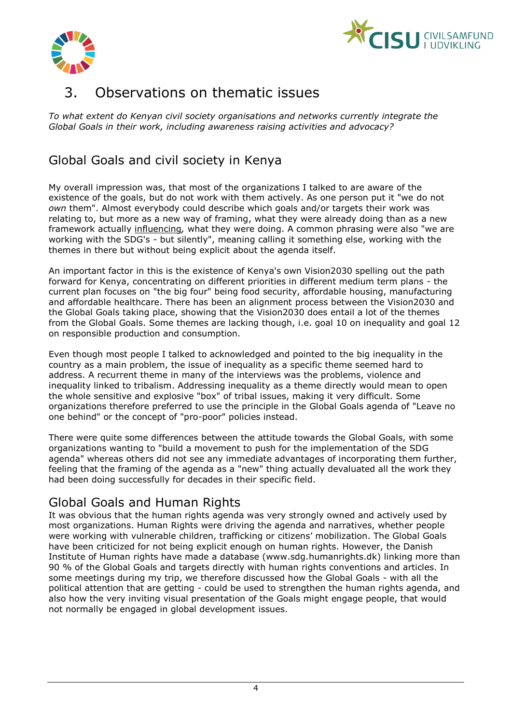



## <span id="page-3-0"></span>3. Observations on thematic issues

*To what extent do Kenyan civil society organisations and networks currently integrate the Global Goals in their work, including awareness raising activities and advocacy?* 

## <span id="page-3-1"></span>Global Goals and civil society in Kenya

My overall impression was, that most of the organizations I talked to are aware of the existence of the goals, but do not work with them actively. As one person put it "we do not *own* them". Almost everybody could describe which goals and/or targets their work was relating to, but more as a new way of framing, what they were already doing than as a new framework actually influencing*,* what they were doing. A common phrasing were also "we are working with the SDG's - but silently", meaning calling it something else, working with the themes in there but without being explicit about the agenda itself.

An important factor in this is the existence of Kenya's own Vision2030 spelling out the path forward for Kenya, concentrating on different priorities in different medium term plans - the current plan focuses on "the big four" being food security, affordable housing, manufacturing and affordable healthcare. There has been an alignment process between the Vision2030 and the Global Goals taking place, showing that the Vision2030 does entail a lot of the themes from the Global Goals. Some themes are lacking though, i.e. goal 10 on inequality and goal 12 on responsible production and consumption.

Even though most people I talked to acknowledged and pointed to the big inequality in the country as a main problem, the issue of inequality as a specific theme seemed hard to address. A recurrent theme in many of the interviews was the problems, violence and inequality linked to tribalism. Addressing inequality as a theme directly would mean to open the whole sensitive and explosive "box" of tribal issues, making it very difficult. Some organizations therefore preferred to use the principle in the Global Goals agenda of "Leave no one behind" or the concept of "pro-poor" policies instead.

There were quite some differences between the attitude towards the Global Goals, with some organizations wanting to "build a movement to push for the implementation of the SDG agenda" whereas others did not see any immediate advantages of incorporating them further, feeling that the framing of the agenda as a "new" thing actually devaluated all the work they had been doing successfully for decades in their specific field.

## <span id="page-3-2"></span>Global Goals and Human Rights

It was obvious that the human rights agenda was very strongly owned and actively used by most organizations. Human Rights were driving the agenda and narratives, whether people were working with vulnerable children, trafficking or citizens' mobilization. The Global Goals have been criticized for not being explicit enough on human rights. However, the Danish Institute of Human rights have made a database (www.sdg.humanrights.dk) linking more than 90 % of the Global Goals and targets directly with human rights conventions and articles. In some meetings during my trip, we therefore discussed how the Global Goals - with all the political attention that are getting - could be used to strengthen the human rights agenda, and also how the very inviting visual presentation of the Goals might engage people, that would not normally be engaged in global development issues.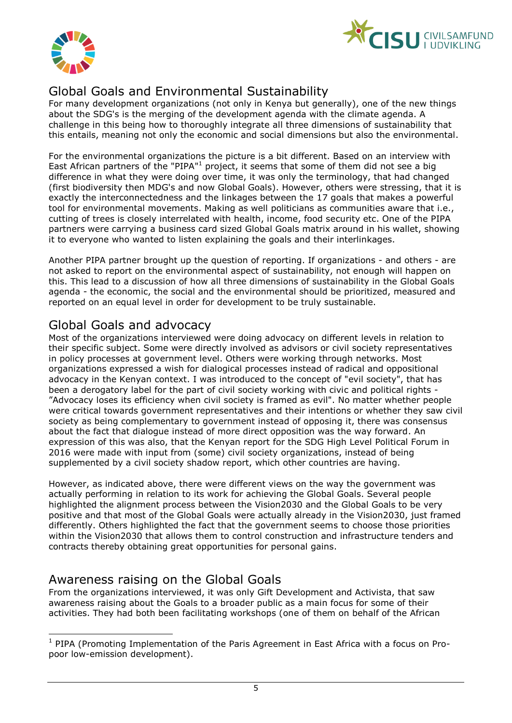



## <span id="page-4-0"></span>Global Goals and Environmental Sustainability

For many development organizations (not only in Kenya but generally), one of the new things about the SDG's is the merging of the development agenda with the climate agenda. A challenge in this being how to thoroughly integrate all three dimensions of sustainability that this entails, meaning not only the economic and social dimensions but also the environmental.

For the environmental organizations the picture is a bit different. Based on an interview with East African partners of the "PIPA"<sup>1</sup> project, it seems that some of them did not see a big difference in what they were doing over time, it was only the terminology, that had changed (first biodiversity then MDG's and now Global Goals). However, others were stressing, that it is exactly the interconnectedness and the linkages between the 17 goals that makes a powerful tool for environmental movements. Making as well politicians as communities aware that i.e., cutting of trees is closely interrelated with health, income, food security etc. One of the PIPA partners were carrying a business card sized Global Goals matrix around in his wallet, showing it to everyone who wanted to listen explaining the goals and their interlinkages.

Another PIPA partner brought up the question of reporting. If organizations - and others - are not asked to report on the environmental aspect of sustainability, not enough will happen on this. This lead to a discussion of how all three dimensions of sustainability in the Global Goals agenda - the economic, the social and the environmental should be prioritized, measured and reported on an equal level in order for development to be truly sustainable.

## <span id="page-4-1"></span>Global Goals and advocacy

Most of the organizations interviewed were doing advocacy on different levels in relation to their specific subject. Some were directly involved as advisors or civil society representatives in policy processes at government level. Others were working through networks. Most organizations expressed a wish for dialogical processes instead of radical and oppositional advocacy in the Kenyan context. I was introduced to the concept of "evil society", that has been a derogatory label for the part of civil society working with civic and political rights - "Advocacy loses its efficiency when civil society is framed as evil". No matter whether people were critical towards government representatives and their intentions or whether they saw civil society as being complementary to government instead of opposing it, there was consensus about the fact that dialogue instead of more direct opposition was the way forward. An expression of this was also, that the Kenyan report for the SDG High Level Political Forum in 2016 were made with input from (some) civil society organizations, instead of being supplemented by a civil society shadow report, which other countries are having.

However, as indicated above, there were different views on the way the government was actually performing in relation to its work for achieving the Global Goals. Several people highlighted the alignment process between the Vision2030 and the Global Goals to be very positive and that most of the Global Goals were actually already in the Vision2030, just framed differently. Others highlighted the fact that the government seems to choose those priorities within the Vision2030 that allows them to control construction and infrastructure tenders and contracts thereby obtaining great opportunities for personal gains.

## <span id="page-4-2"></span>Awareness raising on the Global Goals

-

From the organizations interviewed, it was only Gift Development and Activista, that saw awareness raising about the Goals to a broader public as a main focus for some of their activities. They had both been facilitating workshops (one of them on behalf of the African

<sup>&</sup>lt;sup>1</sup> PIPA (Promoting Implementation of the Paris Agreement in East Africa with a focus on Propoor low-emission development).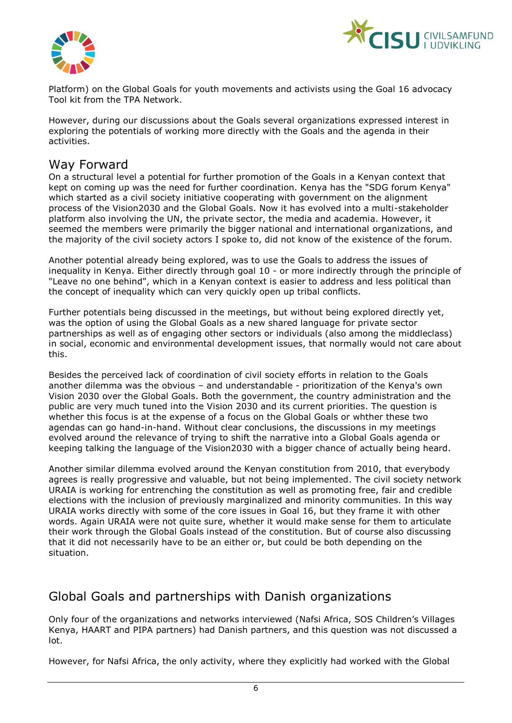



Platform) on the Global Goals for youth movements and activists using the Goal 16 advocacy Tool kit from the TPA Network.

However, during our discussions about the Goals several organizations expressed interest in exploring the potentials of working more directly with the Goals and the agenda in their activities.

### <span id="page-5-0"></span>Way Forward

On a structural level a potential for further promotion of the Goals in a Kenyan context that kept on coming up was the need for further coordination. Kenya has the "SDG forum Kenya" which started as a civil society initiative cooperating with government on the alignment process of the Vision2030 and the Global Goals. Now it has evolved into a multi-stakeholder platform also involving the UN, the private sector, the media and academia. However, it seemed the members were primarily the bigger national and international organizations, and the majority of the civil society actors I spoke to, did not know of the existence of the forum.

Another potential already being explored, was to use the Goals to address the issues of inequality in Kenya. Either directly through goal 10 - or more indirectly through the principle of "Leave no one behind", which in a Kenyan context is easier to address and less political than the concept of inequality which can very quickly open up tribal conflicts.

Further potentials being discussed in the meetings, but without being explored directly yet, was the option of using the Global Goals as a new shared language for private sector partnerships as well as of engaging other sectors or individuals (also among the middleclass) in social, economic and environmental development issues, that normally would not care about this.

Besides the perceived lack of coordination of civil society efforts in relation to the Goals another dilemma was the obvious – and understandable - prioritization of the Kenya's own Vision 2030 over the Global Goals. Both the government, the country administration and the public are very much tuned into the Vision 2030 and its current priorities. The question is whether this focus is at the expense of a focus on the Global Goals or whther these two agendas can go hand-in-hand. Without clear conclusions, the discussions in my meetings evolved around the relevance of trying to shift the narrative into a Global Goals agenda or keeping talking the language of the Vision2030 with a bigger chance of actually being heard.

Another similar dilemma evolved around the Kenyan constitution from 2010, that everybody agrees is really progressive and valuable, but not being implemented. The civil society network URAIA is working for entrenching the constitution as well as promoting free, fair and credible elections with the inclusion of previously marginalized and minority communities. In this way URAIA works directly with some of the core issues in Goal 16, but they frame it with other words. Again URAIA were not quite sure, whether it would make sense for them to articulate their work through the Global Goals instead of the constitution. But of course also discussing that it did not necessarily have to be an either or, but could be both depending on the situation.

### <span id="page-5-1"></span>Global Goals and partnerships with Danish organizations

Only four of the organizations and networks interviewed (Nafsi Africa, SOS Children's Villages Kenya, HAART and PIPA partners) had Danish partners, and this question was not discussed a lot.

However, for Nafsi Africa, the only activity, where they explicitly had worked with the Global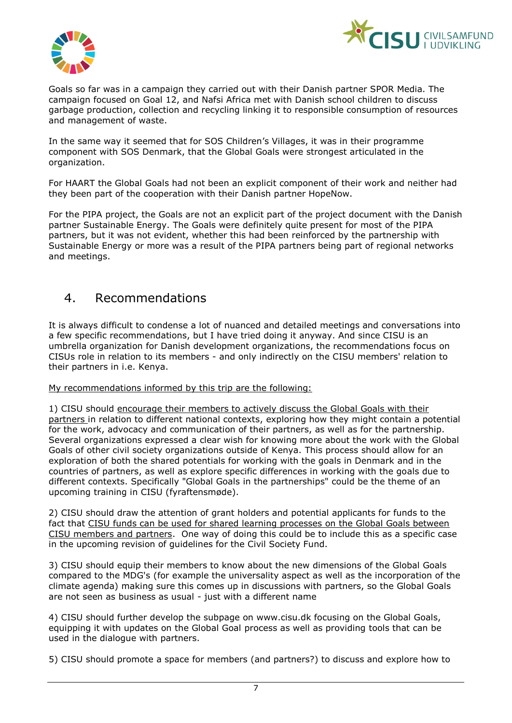



Goals so far was in a campaign they carried out with their Danish partner SPOR Media. The campaign focused on Goal 12, and Nafsi Africa met with Danish school children to discuss garbage production, collection and recycling linking it to responsible consumption of resources and management of waste.

In the same way it seemed that for SOS Children's Villages, it was in their programme component with SOS Denmark, that the Global Goals were strongest articulated in the organization.

For HAART the Global Goals had not been an explicit component of their work and neither had they been part of the cooperation with their Danish partner HopeNow.

For the PIPA project, the Goals are not an explicit part of the project document with the Danish partner Sustainable Energy. The Goals were definitely quite present for most of the PIPA partners, but it was not evident, whether this had been reinforced by the partnership with Sustainable Energy or more was a result of the PIPA partners being part of regional networks and meetings.

### <span id="page-6-0"></span>4. Recommendations

It is always difficult to condense a lot of nuanced and detailed meetings and conversations into a few specific recommendations, but I have tried doing it anyway. And since CISU is an umbrella organization for Danish development organizations, the recommendations focus on CISUs role in relation to its members - and only indirectly on the CISU members' relation to their partners in i.e. Kenya.

My recommendations informed by this trip are the following:

1) CISU should encourage their members to actively discuss the Global Goals with their partners in relation to different national contexts, exploring how they might contain a potential for the work, advocacy and communication of their partners, as well as for the partnership. Several organizations expressed a clear wish for knowing more about the work with the Global Goals of other civil society organizations outside of Kenya. This process should allow for an exploration of both the shared potentials for working with the goals in Denmark and in the countries of partners, as well as explore specific differences in working with the goals due to different contexts. Specifically "Global Goals in the partnerships" could be the theme of an upcoming training in CISU (fyraftensmøde).

2) CISU should draw the attention of grant holders and potential applicants for funds to the fact that CISU funds can be used for shared learning processes on the Global Goals between CISU members and partners. One way of doing this could be to include this as a specific case in the upcoming revision of guidelines for the Civil Society Fund.

3) CISU should equip their members to know about the new dimensions of the Global Goals compared to the MDG's (for example the universality aspect as well as the incorporation of the climate agenda) making sure this comes up in discussions with partners, so the Global Goals are not seen as business as usual - just with a different name

4) CISU should further develop the subpage on www.cisu.dk focusing on the Global Goals, equipping it with updates on the Global Goal process as well as providing tools that can be used in the dialogue with partners.

5) CISU should promote a space for members (and partners?) to discuss and explore how to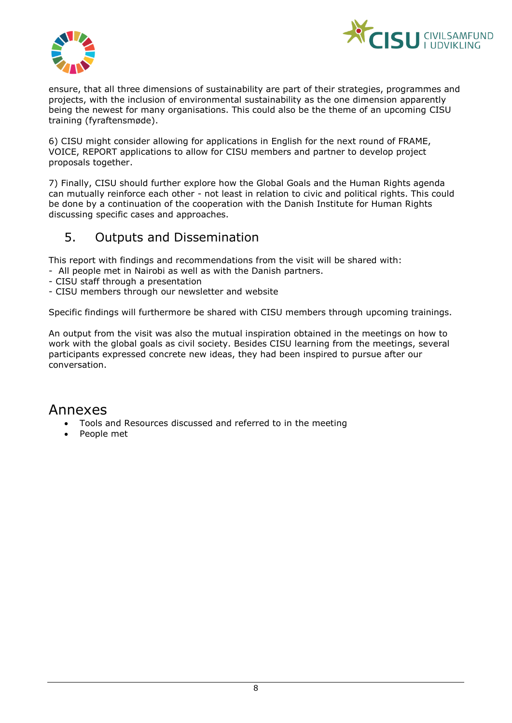



ensure, that all three dimensions of sustainability are part of their strategies, programmes and projects, with the inclusion of environmental sustainability as the one dimension apparently being the newest for many organisations. This could also be the theme of an upcoming CISU training (fyraftensmøde).

6) CISU might consider allowing for applications in English for the next round of FRAME, VOICE, REPORT applications to allow for CISU members and partner to develop project proposals together.

7) Finally, CISU should further explore how the Global Goals and the Human Rights agenda can mutually reinforce each other - not least in relation to civic and political rights. This could be done by a continuation of the cooperation with the Danish Institute for Human Rights discussing specific cases and approaches.

## <span id="page-7-0"></span>5. Outputs and Dissemination

This report with findings and recommendations from the visit will be shared with:

- All people met in Nairobi as well as with the Danish partners.
- CISU staff through a presentation
- CISU members through our newsletter and website

Specific findings will furthermore be shared with CISU members through upcoming trainings.

An output from the visit was also the mutual inspiration obtained in the meetings on how to work with the global goals as civil society. Besides CISU learning from the meetings, several participants expressed concrete new ideas, they had been inspired to pursue after our conversation.

### <span id="page-7-1"></span>Annexes

- Tools and Resources discussed and referred to in the meeting
- People met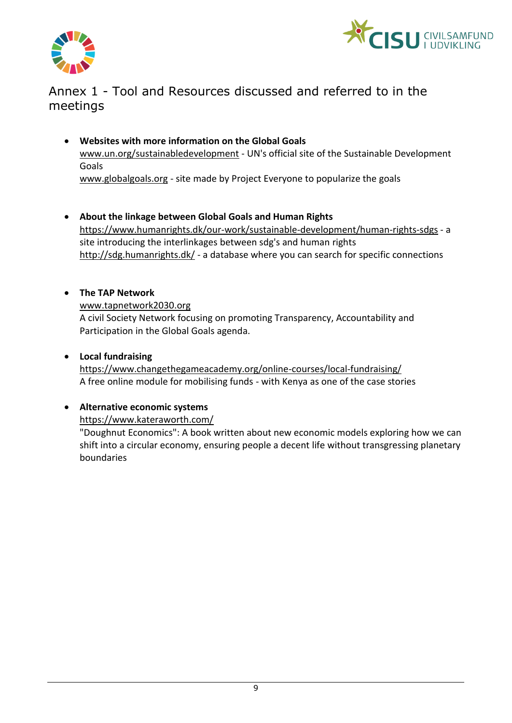



## <span id="page-8-0"></span>Annex 1 - Tool and Resources discussed and referred to in the meetings

- **Websites with more information on the Global Goals** www.un.org/sustainabledevelopment - UN's official site of the Sustainable Development Goals www.globalgoals.org - site made by Project Everyone to popularize the goals
- **About the linkage between Global Goals and Human Rights** https://www.humanrights.dk/our-work/sustainable-development/human-rights-sdgs - a site introducing the interlinkages between sdg's and human rights http://sdg.humanrights.dk/ - a database where you can search for specific connections

#### **The TAP Network**

www.tapnetwork2030.org

A civil Society Network focusing on promoting Transparency, Accountability and Participation in the Global Goals agenda.

#### **Local fundraising**

https://www.changethegameacademy.org/online-courses/local-fundraising/ A free online module for mobilising funds - with Kenya as one of the case stories

#### **Alternative economic systems**

https://www.kateraworth.com/

"Doughnut Economics": A book written about new economic models exploring how we can shift into a circular economy, ensuring people a decent life without transgressing planetary boundaries